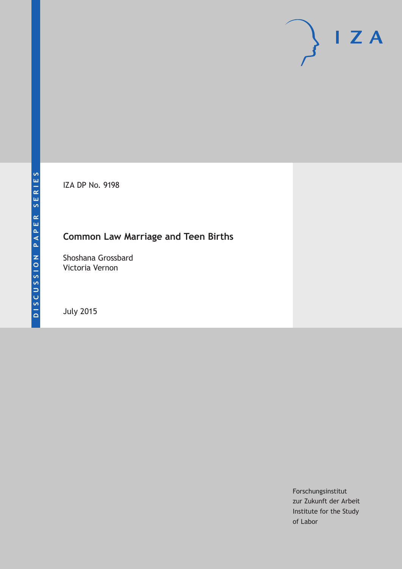IZA DP No. 9198

# **Common Law Marriage and Teen Births**

Shoshana Grossbard Victoria Vernon

July 2015

Forschungsinstitut zur Zukunft der Arbeit Institute for the Study of Labor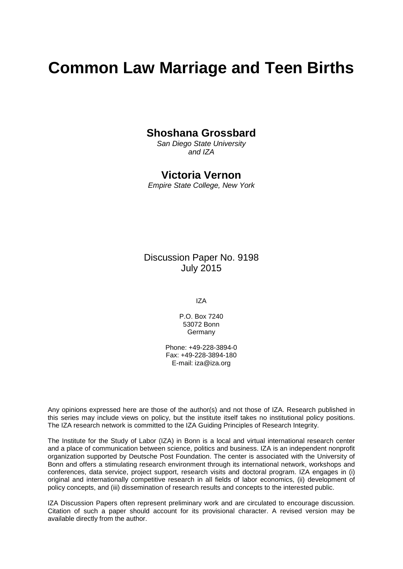# **Common Law Marriage and Teen Births**

### **Shoshana Grossbard**

*San Diego State University and IZA*

### **Victoria Vernon**

*Empire State College, New York*

Discussion Paper No. 9198 July 2015

IZA

P.O. Box 7240 53072 Bonn **Germany** 

Phone: +49-228-3894-0 Fax: +49-228-3894-180 E-mail: iza@iza.org

Any opinions expressed here are those of the author(s) and not those of IZA. Research published in this series may include views on policy, but the institute itself takes no institutional policy positions. The IZA research network is committed to the IZA Guiding Principles of Research Integrity.

The Institute for the Study of Labor (IZA) in Bonn is a local and virtual international research center and a place of communication between science, politics and business. IZA is an independent nonprofit organization supported by Deutsche Post Foundation. The center is associated with the University of Bonn and offers a stimulating research environment through its international network, workshops and conferences, data service, project support, research visits and doctoral program. IZA engages in (i) original and internationally competitive research in all fields of labor economics, (ii) development of policy concepts, and (iii) dissemination of research results and concepts to the interested public.

<span id="page-1-0"></span>IZA Discussion Papers often represent preliminary work and are circulated to encourage discussion. Citation of such a paper should account for its provisional character. A revised version may be available directly from the author.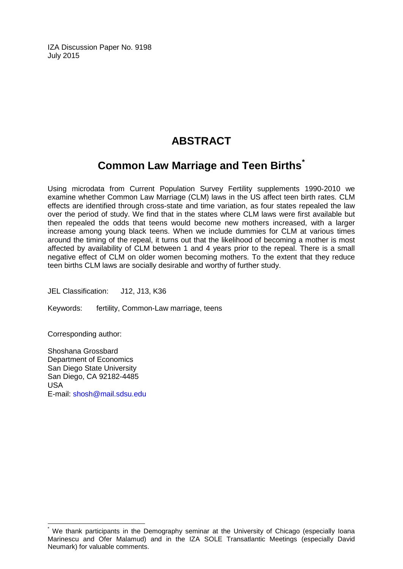IZA Discussion Paper No. 9198 July 2015

# **ABSTRACT**

# **Common Law Marriage and Teen Births[\\*](#page-1-0)**

Using microdata from Current Population Survey Fertility supplements 1990-2010 we examine whether Common Law Marriage (CLM) laws in the US affect teen birth rates. CLM effects are identified through cross-state and time variation, as four states repealed the law over the period of study. We find that in the states where CLM laws were first available but then repealed the odds that teens would become new mothers increased, with a larger increase among young black teens. When we include dummies for CLM at various times around the timing of the repeal, it turns out that the likelihood of becoming a mother is most affected by availability of CLM between 1 and 4 years prior to the repeal. There is a small negative effect of CLM on older women becoming mothers. To the extent that they reduce teen births CLM laws are socially desirable and worthy of further study.

JEL Classification: J12, J13, K36

Keywords: fertility, Common-Law marriage, teens

Corresponding author:

Shoshana Grossbard Department of Economics San Diego State University San Diego, CA 92182-4485 USA E-mail: [shosh@mail.sdsu.edu](mailto:shosh@mail.sdsu.edu)

We thank participants in the Demography seminar at the University of Chicago (especially Ioana Marinescu and Ofer Malamud) and in the IZA SOLE Transatlantic Meetings (especially David Neumark) for valuable comments.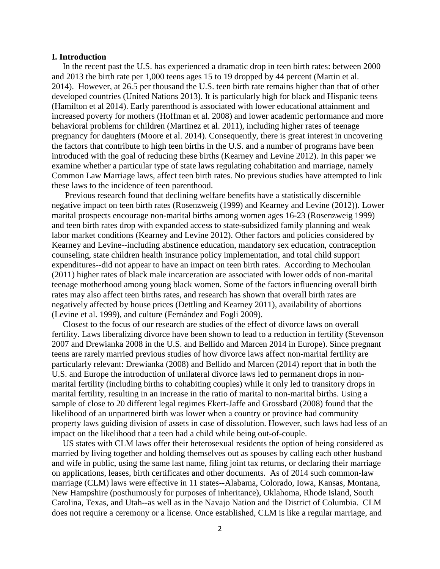#### **I. Introduction**

In the recent past the U.S. has experienced a dramatic drop in teen birth rates: between 2000 and 2013 the birth rate per 1,000 teens ages 15 to 19 dropped by 44 percent (Martin et al. 2014). However, at 26.5 per thousand the U.S. teen birth rate remains higher than that of other developed countries (United Nations 2013). It is particularly high for black and Hispanic teens (Hamilton et al 2014). Early parenthood is associated with lower educational attainment and increased poverty for mothers (Hoffman et al. 2008) and lower academic performance and more behavioral problems for children (Martinez et al. 2011), including higher rates of teenage pregnancy for daughters (Moore et al. 2014). Consequently, there is great interest in uncovering the factors that contribute to high teen births in the U.S. and a number of programs have been introduced with the goal of reducing these births (Kearney and Levine 2012). In this paper we examine whether a particular type of state laws regulating cohabitation and marriage, namely Common Law Marriage laws, affect teen birth rates. No previous studies have attempted to link these laws to the incidence of teen parenthood.

Previous research found that declining welfare benefits have a statistically discernible negative impact on teen birth rates (Rosenzweig (1999) and Kearney and Levine (2012)). Lower marital prospects encourage non-marital births among women ages 16-23 (Rosenzweig 1999) and teen birth rates drop with expanded access to state-subsidized family planning and weak labor market conditions (Kearney and Levine 2012). Other factors and policies considered by Kearney and Levine--including abstinence education, mandatory sex education, contraception counseling, state children health insurance policy implementation, and total child support expenditures--did not appear to have an impact on teen birth rates. According to Mechoulan (2011) higher rates of black male incarceration are associated with lower odds of non-marital teenage motherhood among young black women. Some of the factors influencing overall birth rates may also affect teen births rates, and research has shown that overall birth rates are negatively affected by house prices (Dettling and Kearney 2011), availability of abortions (Levine et al. 1999), and culture (Fernández and Fogli 2009).

Closest to the focus of our research are studies of the effect of divorce laws on overall fertility. Laws liberalizing divorce have been shown to lead to a reduction in fertility (Stevenson 2007 and Drewianka 2008 in the U.S. and Bellido and Marcen 2014 in Europe). Since pregnant teens are rarely married previous studies of how divorce laws affect non-marital fertility are particularly relevant: Drewianka (2008) and Bellido and Marcen (2014) report that in both the U.S. and Europe the introduction of unilateral divorce laws led to permanent drops in nonmarital fertility (including births to cohabiting couples) while it only led to transitory drops in marital fertility, resulting in an increase in the ratio of marital to non-marital births. Using a sample of close to 20 different legal regimes Ekert-Jaffe and Grossbard (2008) found that the likelihood of an unpartnered birth was lower when a country or province had community property laws guiding division of assets in case of dissolution. However, such laws had less of an impact on the likelihood that a teen had a child while being out-of-couple.

US states with CLM laws offer their heterosexual residents the option of being considered as married by living together and holding themselves out as spouses by calling each other husband and wife in public, using the same last name, filing joint tax returns, or declaring their marriage on applications, leases, birth certificates and other documents. As of 2014 such common-law marriage (CLM) laws were effective in 11 states--Alabama, Colorado, Iowa, Kansas, Montana, New Hampshire (posthumously for purposes of inheritance), Oklahoma, Rhode Island, South Carolina, Texas, and Utah--as well as in the Navajo Nation and the District of Columbia. CLM does not require a ceremony or a license. Once established, CLM is like a regular marriage, and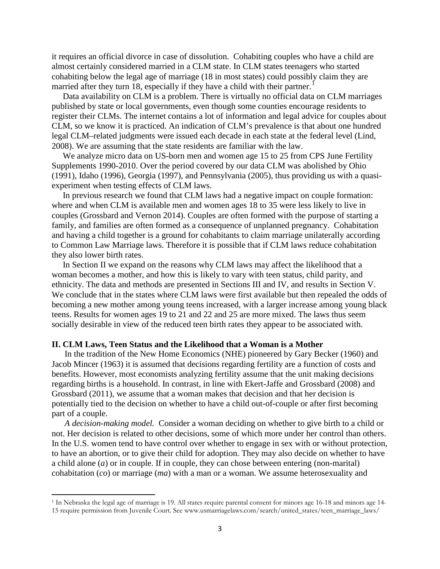it requires an official divorce in case of dissolution. Cohabiting couples who have a child are almost certainly considered married in a CLM state. In CLM states teenagers who started cohabiting below the legal age of marriage (18 in most states) could possibly claim they are married after they turn [1](#page-18-0)8, especially if they have a child with their partner.<sup>1</sup>

Data availability on CLM is a problem. There is virtually no official data on CLM marriages published by state or local governments, even though some counties encourage residents to register their CLMs. The internet contains a lot of information and legal advice for couples about CLM, so we know it is practiced. An indication of CLM's prevalence is that about one hundred legal CLM–related judgments were issued each decade in each state at the federal level (Lind, 2008). We are assuming that the state residents are familiar with the law.

We analyze micro data on US-born men and women age 15 to 25 from CPS June Fertility Supplements 1990-2010. Over the period covered by our data CLM was abolished by Ohio (1991), Idaho (1996), Georgia (1997), and Pennsylvania (2005), thus providing us with a quasiexperiment when testing effects of CLM laws.

In previous research we found that CLM laws had a negative impact on couple formation: where and when CLM is available men and women ages 18 to 35 were less likely to live in couples (Grossbard and Vernon 2014). Couples are often formed with the purpose of starting a family, and families are often formed as a consequence of unplanned pregnancy. Cohabitation and having a child together is a ground for cohabitants to claim marriage unilaterally according to Common Law Marriage laws. Therefore it is possible that if CLM laws reduce cohabitation they also lower birth rates.

In Section II we expand on the reasons why CLM laws may affect the likelihood that a woman becomes a mother, and how this is likely to vary with teen status, child parity, and ethnicity. The data and methods are presented in Sections III and IV, and results in Section V. We conclude that in the states where CLM laws were first available but then repealed the odds of becoming a new mother among young teens increased, with a larger increase among young black teens. Results for women ages 19 to 21 and 22 and 25 are more mixed. The laws thus seem socially desirable in view of the reduced teen birth rates they appear to be associated with.

#### **II. CLM Laws, Teen Status and the Likelihood that a Woman is a Mother**

<span id="page-4-0"></span>l

In the tradition of the New Home Economics (NHE) pioneered by Gary Becker (1960) and Jacob Mincer (1963) it is assumed that decisions regarding fertility are a function of costs and benefits. However, most economists analyzing fertility assume that the unit making decisions regarding births is a household. In contrast, in line with Ekert-Jaffe and Grossbard (2008) and Grossbard (2011), we assume that a woman makes that decision and that her decision is potentially tied to the decision on whether to have a child out-of-couple or after first becoming part of a couple.

*A decision-making model.* Consider a woman deciding on whether to give birth to a child or not. Her decision is related to other decisions, some of which more under her control than others. In the U.S. women tend to have control over whether to engage in sex with or without protection, to have an abortion, or to give their child for adoption. They may also decide on whether to have a child alone (*a*) or in couple. If in couple, they can chose between entering (non-marital) cohabitation (*co*) or marriage (*ma*) with a man or a woman. We assume heterosexuality and

<sup>1</sup> In Nebraska the legal age of marriage is 19. All states require parental consent for minors age 16-18 and minors age 14- 15 require permission from Juvenile Court. See www.usmarriagelaws.com/search/united\_states/teen\_marriage\_laws/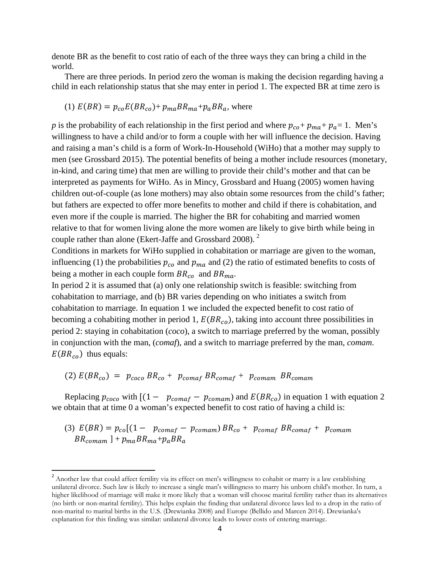denote BR as the benefit to cost ratio of each of the three ways they can bring a child in the world.

There are three periods. In period zero the woman is making the decision regarding having a child in each relationship status that she may enter in period 1. The expected BR at time zero is

(1) 
$$
E(BR) = p_{co}E(BR_{co}) + p_{ma}BR_{ma} + p_aBR_a
$$
, where

*p* is the probability of each relationship in the first period and where  $p_{co} + p_{ma} + p_a = 1$ . Men's willingness to have a child and/or to form a couple with her will influence the decision. Having and raising a man's child is a form of Work-In-Household (WiHo) that a mother may supply to men (see Grossbard 2015). The potential benefits of being a mother include resources (monetary, in-kind, and caring time) that men are willing to provide their child's mother and that can be interpreted as payments for WiHo. As in Mincy, Grossbard and Huang (2005) women having children out-of-couple (as lone mothers) may also obtain some resources from the child's father; but fathers are expected to offer more benefits to mother and child if there is cohabitation, and even more if the couple is married. The higher the BR for cohabiting and married women relative to that for women living alone the more women are likely to give birth while being in couple rather than alone (Ekert-Jaffe and Grossbard 2008). [2](#page-4-0)

Conditions in markets for WiHo supplied in cohabitation or marriage are given to the woman, influencing (1) the probabilities  $p_{co}$  and  $p_{ma}$  and (2) the ratio of estimated benefits to costs of being a mother in each couple form  $BR_{co}$  and  $BR_{ma}$ .

In period 2 it is assumed that (a) only one relationship switch is feasible: switching from cohabitation to marriage, and (b) BR varies depending on who initiates a switch from cohabitation to marriage. In equation 1 we included the expected benefit to cost ratio of becoming a cohabiting mother in period 1,  $E(BR_{co})$ , taking into account three possibilities in period 2: staying in cohabitation (*coco*), a switch to marriage preferred by the woman, possibly in conjunction with the man, (*comaf*), and a switch to marriage preferred by the man, *comam*.  $E(BR_{co})$  thus equals:

$$
(2) E(BR_{co}) = p_{coco} BR_{co} + p_{comaf} BR_{comaf} + p_{comam} BR_{comam}
$$

Replacing  $p_{coco}$  with  $[(1 - p_{comaf} - p_{comam})$  and  $E(BR_{co})$  in equation 1 with equation 2 we obtain that at time 0 a woman's expected benefit to cost ratio of having a child is:

(3) 
$$
E(BR) = p_{co}[(1 - p_{comaf} - p_{comam})BR_{co} + p_{comaf} BR_{comaf} + p_{comam}
$$
  
 $BR_{comam} + p_{ma}BR_{ma} + p_aBR_a$ 

<span id="page-5-0"></span><sup>&</sup>lt;sup>2</sup> Another law that could affect fertility via its effect on men's willingness to cohabit or marry is a law establishing unilateral divorce. Such law is likely to increase a single man's willingness to marry his unborn child's mother. In turn, a higher likelihood of marriage will make it more likely that a woman will choose marital fertility rather than its alternatives (no birth or non-marital fertility). This helps explain the finding that unilateral divorce laws led to a drop in the ratio of non-marital to marital births in the U.S. (Drewianka 2008) and Europe (Bellido and Marcen 2014). Drewianka's explanation for this finding was similar: unilateral divorce leads to lower costs of entering marriage.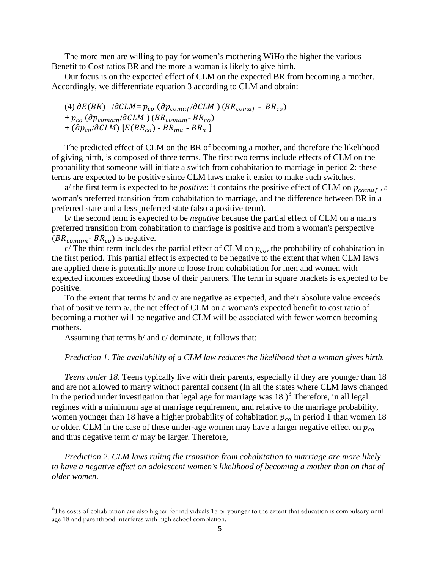The more men are willing to pay for women's mothering WiHo the higher the various Benefit to Cost ratios BR and the more a woman is likely to give birth.

Our focus is on the expected effect of CLM on the expected BR from becoming a mother. Accordingly, we differentiate equation 3 according to CLM and obtain:

(4)  $\partial E(BR)$  / $\partial CLM = p_{co}$  ( $\partial p_{comaf}/\partial CLM$ ) ( $BR_{comaf}$  -  $BR_{co}$ ) +  $p_{co}$  ( $\partial p_{comm}/\partial CLM$ ) (BR<sub>comam</sub>-BR<sub>co</sub>)  $+$  ( $\partial p_{co}/\partial CLM$ ) [ $E(BR_{co})$  -  $BR_{ma}$  -  $BR_a$  ]

The predicted effect of CLM on the BR of becoming a mother, and therefore the likelihood of giving birth, is composed of three terms. The first two terms include effects of CLM on the probability that someone will initiate a switch from cohabitation to marriage in period 2: these terms are expected to be positive since CLM laws make it easier to make such switches.

a/ the first term is expected to be *positive*: it contains the positive effect of CLM on  $p_{comaf}$ , a woman's preferred transition from cohabitation to marriage, and the difference between BR in a preferred state and a less preferred state (also a positive term).

b/ the second term is expected to be *negative* because the partial effect of CLM on a man's preferred transition from cohabitation to marriage is positive and from a woman's perspective  $(BR_{comm} - BR_{co})$  is negative.

c/ The third term includes the partial effect of CLM on  $p_{co}$ , the probability of cohabitation in the first period. This partial effect is expected to be negative to the extent that when CLM laws are applied there is potentially more to loose from cohabitation for men and women with expected incomes exceeding those of their partners. The term in square brackets is expected to be positive.

To the extent that terms b/ and c/ are negative as expected, and their absolute value exceeds that of positive term a/, the net effect of CLM on a woman's expected benefit to cost ratio of becoming a mother will be negative and CLM will be associated with fewer women becoming mothers.

Assuming that terms b/ and c/ dominate, it follows that:

#### *Prediction 1. The availability of a CLM law reduces the likelihood that a woman gives birth.*

*Teens under 18.* Teens typically live with their parents, especially if they are younger than 18 and are not allowed to marry without parental consent (In all the states where CLM laws changed in the period under investigation that legal age for marriage was  $18.)<sup>3</sup>$  $18.)<sup>3</sup>$  $18.)<sup>3</sup>$  Therefore, in all legal regimes with a minimum age at marriage requirement, and relative to the marriage probability, women younger than 18 have a higher probability of cohabitation  $p_{co}$  in period 1 than women 18 or older. CLM in the case of these under-age women may have a larger negative effect on  $p_{co}$ and thus negative term c/ may be larger. Therefore,

*Prediction 2. CLM laws ruling the transition from cohabitation to marriage are more likely to have a negative effect on adolescent women's likelihood of becoming a mother than on that of older women.*

<span id="page-6-0"></span><sup>-&</sup>lt;br>3 <sup>3</sup>The costs of cohabitation are also higher for individuals 18 or younger to the extent that education is compulsory until age 18 and parenthood interferes with high school completion.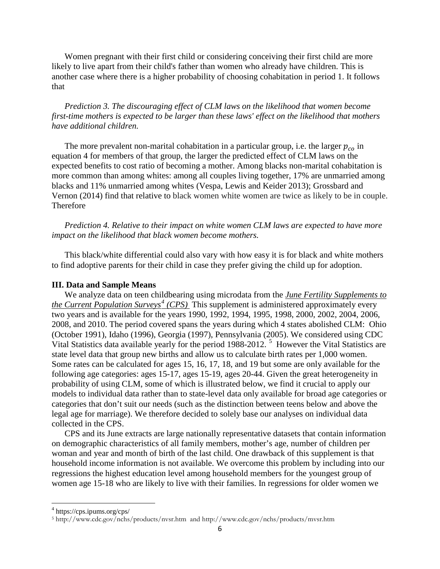Women pregnant with their first child or considering conceiving their first child are more likely to live apart from their child's father than women who already have children. This is another case where there is a higher probability of choosing cohabitation in period 1. It follows that

*Prediction 3. The discouraging effect of CLM laws on the likelihood that women become first-time mothers is expected to be larger than these laws' effect on the likelihood that mothers have additional children.*

The more prevalent non-marital cohabitation in a particular group, i.e. the larger  $p_{co}$  in equation 4 for members of that group, the larger the predicted effect of CLM laws on the expected benefits to cost ratio of becoming a mother. Among blacks non-marital cohabitation is more common than among whites: among all couples living together, 17% are unmarried among blacks and 11% unmarried among whites (Vespa, Lewis and Keider 2013); Grossbard and Vernon (2014) find that relative to black women white women are twice as likely to be in couple. Therefore

*Prediction 4. Relative to their impact on white women CLM laws are expected to have more impact on the likelihood that black women become mothers.*

This black/white differential could also vary with how easy it is for black and white mothers to find adoptive parents for their child in case they prefer giving the child up for adoption.

#### **III. Data and Sample Means**

We analyze data on teen childbearing using microdata from the *June Fertility Supplements to the Current Population Surveys[4](#page-6-0) (CPS)* This supplement is administered approximately every two years and is available for the years 1990, 1992, 1994, 1995, 1998, 2000, 2002, 2004, 2006, 2008, and 2010. The period covered spans the years during which 4 states abolished CLM: Ohio (October 1991), Idaho (1996), Georgia (1997), Pennsylvania (2005). We considered using CDC Vital Statistics data available yearly for the period 1988-2012.<sup>[5](#page-7-0)</sup> However the Vital Statistics are state level data that group new births and allow us to calculate birth rates per 1,000 women. Some rates can be calculated for ages 15, 16, 17, 18, and 19 but some are only available for the following age categories: ages 15-17, ages 15-19, ages 20-44. Given the great heterogeneity in probability of using CLM, some of which is illustrated below, we find it crucial to apply our models to individual data rather than to state-level data only available for broad age categories or categories that don't suit our needs (such as the distinction between teens below and above the legal age for marriage). We therefore decided to solely base our analyses on individual data collected in the CPS.

CPS and its June extracts are large nationally representative datasets that contain information on demographic characteristics of all family members, mother's age, number of children per woman and year and month of birth of the last child. One drawback of this supplement is that household income information is not available. We overcome this problem by including into our regressions the highest education level among household members for the youngest group of women age 15-18 who are likely to live with their families. In regressions for older women we

<span id="page-7-1"></span> $^4$  https://cps.ipums.org/cps/

<span id="page-7-0"></span><sup>5</sup> <http://www.cdc.gov/nchs/products/nvsr.htm>and http://www.cdc.gov/nchs/products/mvsr.htm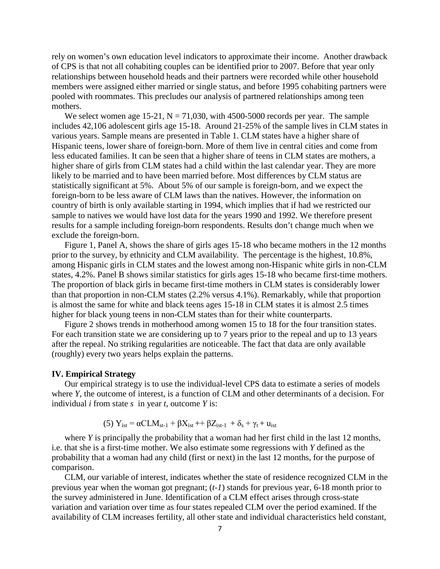rely on women's own education level indicators to approximate their income. Another drawback of CPS is that not all cohabiting couples can be identified prior to 2007. Before that year only relationships between household heads and their partners were recorded while other household members were assigned either married or single status, and before 1995 cohabiting partners were pooled with roommates. This precludes our analysis of partnered relationships among teen mothers.

We select women age 15-21,  $N = 71,030$ , with 4500-5000 records per year. The sample includes 42,106 adolescent girls age 15-18. Around 21-25% of the sample lives in CLM states in various years. Sample means are presented in Table 1. CLM states have a higher share of Hispanic teens, lower share of foreign-born. More of them live in central cities and come from less educated families. It can be seen that a higher share of teens in CLM states are mothers, a higher share of girls from CLM states had a child within the last calendar year. They are more likely to be married and to have been married before. Most differences by CLM status are statistically significant at 5%. About 5% of our sample is foreign-born, and we expect the foreign-born to be less aware of CLM laws than the natives. However, the information on country of birth is only available starting in 1994, which implies that if had we restricted our sample to natives we would have lost data for the years 1990 and 1992. We therefore present results for a sample including foreign-born respondents. Results don't change much when we exclude the foreign-born.

Figure 1, Panel A, shows the share of girls ages 15-18 who became mothers in the 12 months prior to the survey, by ethnicity and CLM availability. The percentage is the highest, 10.8%, among Hispanic girls in CLM states and the lowest among non-Hispanic white girls in non-CLM states, 4.2%. Panel B shows similar statistics for girls ages 15-18 who became first-time mothers. The proportion of black girls in became first-time mothers in CLM states is considerably lower than that proportion in non-CLM states (2.2% versus 4.1%). Remarkably, while that proportion is almost the same for white and black teens ages 15-18 in CLM states it is almost 2.5 times higher for black young teens in non-CLM states than for their white counterparts.

Figure 2 shows trends in motherhood among women 15 to 18 for the four transition states. For each transition state we are considering up to 7 years prior to the repeal and up to 13 years after the repeal. No striking regularities are noticeable. The fact that data are only available (roughly) every two years helps explain the patterns.

#### **IV. Empirical Strategy**

Our empirical strategy is to use the individual-level CPS data to estimate a series of models where *Y*, the outcome of interest, is a function of CLM and other determinants of a decision. For individual *i* from state *s* in year *t*, outcome *Y* is:

(5) 
$$
Y_{\text{ist}} = \alpha CLM_{\text{st-1}} + \beta X_{\text{ist}} + \beta Z_{\text{ist-1}} + \delta_{s} + \gamma_{t} + u_{\text{ist}}
$$

where *Y* is principally the probability that a woman had her first child in the last 12 months, i.e. that she is a first-time mother. We also estimate some regressions with *Y* defined as the probability that a woman had any child (first or next) in the last 12 months, for the purpose of comparison.

CLM, our variable of interest, indicates whether the state of residence recognized CLM in the previous year when the woman got pregnant; (*t-1*) stands for previous year, 6-18 month prior to the survey administered in June. Identification of a CLM effect arises through cross-state variation and variation over time as four states repealed CLM over the period examined. If the availability of CLM increases fertility, all other state and individual characteristics held constant,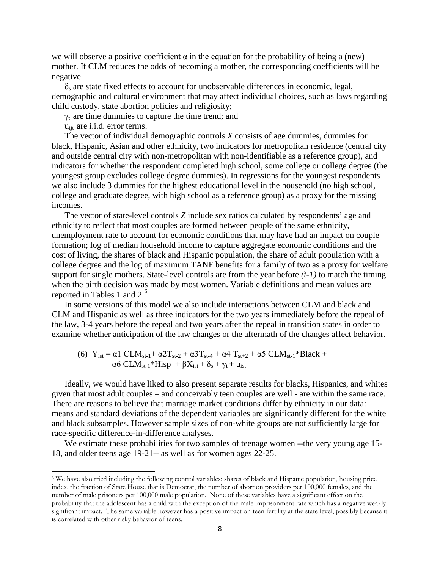we will observe a positive coefficient  $\alpha$  in the equation for the probability of being a (new) mother. If CLM reduces the odds of becoming a mother, the corresponding coefficients will be negative.

 $\delta_s$  are state fixed effects to account for unobservable differences in economic, legal, demographic and cultural environment that may affect individual choices, such as laws regarding child custody, state abortion policies and religiosity;

 $\gamma_t$  are time dummies to capture the time trend; and

u<sub>ijt</sub> are i.i.d. error terms.

 $\overline{\phantom{a}}$ 

The vector of individual demographic controls *X* consists of age dummies, dummies for black, Hispanic, Asian and other ethnicity, two indicators for metropolitan residence (central city and outside central city with non-metropolitan with non-identifiable as a reference group), and indicators for whether the respondent completed high school, some college or college degree (the youngest group excludes college degree dummies). In regressions for the youngest respondents we also include 3 dummies for the highest educational level in the household (no high school, college and graduate degree, with high school as a reference group) as a proxy for the missing incomes.

The vector of state-level controls *Z* include sex ratios calculated by respondents' age and ethnicity to reflect that most couples are formed between people of the same ethnicity, unemployment rate to account for economic conditions that may have had an impact on couple formation; log of median household income to capture aggregate economic conditions and the cost of living, the shares of black and Hispanic population, the share of adult population with a college degree and the log of maximum TANF benefits for a family of two as a proxy for welfare support for single mothers. State-level controls are from the year before *(t-1)* to match the timing when the birth decision was made by most women. Variable definitions and mean values are reported in Tables 1 and 2.<sup>[6](#page-7-1)</sup>

In some versions of this model we also include interactions between CLM and black and CLM and Hispanic as well as three indicators for the two years immediately before the repeal of the law, 3-4 years before the repeal and two years after the repeal in transition states in order to examine whether anticipation of the law changes or the aftermath of the changes affect behavior.

(6) 
$$
Y_{ist} = \alpha 1 \text{ CLM}_{st-1} + \alpha 2 T_{st-2} + \alpha 3 T_{st-4} + \alpha 4 T_{st+2} + \alpha 5 \text{ CLM}_{st-1} * Black + \alpha 6 \text{ CLM}_{st-1} * Hisp + \beta X_{ist} + \delta_s + \gamma_t + u_{ist}
$$

Ideally, we would have liked to also present separate results for blacks, Hispanics, and whites given that most adult couples – and conceivably teen couples are well - are within the same race. There are reasons to believe that marriage market conditions differ by ethnicity in our data: means and standard deviations of the dependent variables are significantly different for the white and black subsamples. However sample sizes of non-white groups are not sufficiently large for race-specific difference-in-difference analyses.

We estimate these probabilities for two samples of teenage women --the very young age 15-18, and older teens age 19-21-- as well as for women ages 22-25.

<sup>6</sup> We have also tried including the following control variables: shares of black and Hispanic population, housing price index, the fraction of State House that is Democrat, the number of abortion providers per 100,000 females, and the number of male prisoners per 100,000 male population. None of these variables have a significant effect on the probability that the adolescent has a child with the exception of the male imprisonment rate which has a negative weakly significant impact. The same variable however has a positive impact on teen fertility at the state level, possibly because it is correlated with other risky behavior of teens.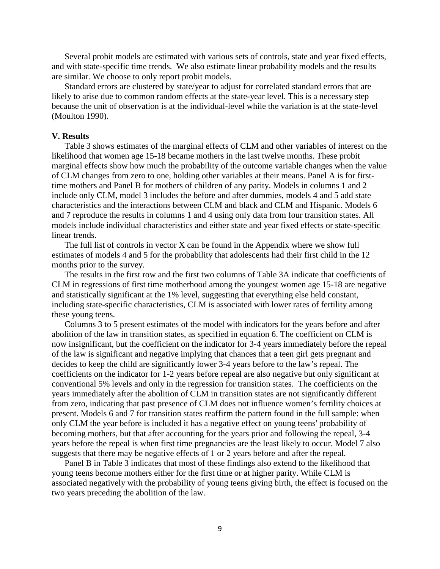Several probit models are estimated with various sets of controls, state and year fixed effects, and with state-specific time trends. We also estimate linear probability models and the results are similar. We choose to only report probit models.

Standard errors are clustered by state/year to adjust for correlated standard errors that are likely to arise due to common random effects at the state-year level. This is a necessary step because the unit of observation is at the individual-level while the variation is at the state-level (Moulton 1990).

#### **V. Results**

Table 3 shows estimates of the marginal effects of CLM and other variables of interest on the likelihood that women age 15-18 became mothers in the last twelve months. These probit marginal effects show how much the probability of the outcome variable changes when the value of CLM changes from zero to one, holding other variables at their means. Panel A is for firsttime mothers and Panel B for mothers of children of any parity. Models in columns 1 and 2 include only CLM, model 3 includes the before and after dummies, models 4 and 5 add state characteristics and the interactions between CLM and black and CLM and Hispanic. Models 6 and 7 reproduce the results in columns 1 and 4 using only data from four transition states. All models include individual characteristics and either state and year fixed effects or state-specific linear trends.

The full list of controls in vector X can be found in the Appendix where we show full estimates of models 4 and 5 for the probability that adolescents had their first child in the 12 months prior to the survey.

The results in the first row and the first two columns of Table 3A indicate that coefficients of CLM in regressions of first time motherhood among the youngest women age 15-18 are negative and statistically significant at the 1% level, suggesting that everything else held constant, including state-specific characteristics, CLM is associated with lower rates of fertility among these young teens.

Columns 3 to 5 present estimates of the model with indicators for the years before and after abolition of the law in transition states, as specified in equation 6. The coefficient on CLM is now insignificant, but the coefficient on the indicator for 3-4 years immediately before the repeal of the law is significant and negative implying that chances that a teen girl gets pregnant and decides to keep the child are significantly lower 3-4 years before to the law's repeal. The coefficients on the indicator for 1-2 years before repeal are also negative but only significant at conventional 5% levels and only in the regression for transition states. The coefficients on the years immediately after the abolition of CLM in transition states are not significantly different from zero, indicating that past presence of CLM does not influence women's fertility choices at present. Models 6 and 7 for transition states reaffirm the pattern found in the full sample: when only CLM the year before is included it has a negative effect on young teens' probability of becoming mothers, but that after accounting for the years prior and following the repeal, 3-4 years before the repeal is when first time pregnancies are the least likely to occur. Model 7 also suggests that there may be negative effects of 1 or 2 years before and after the repeal.

Panel B in Table 3 indicates that most of these findings also extend to the likelihood that young teens become mothers either for the first time or at higher parity. While CLM is associated negatively with the probability of young teens giving birth, the effect is focused on the two years preceding the abolition of the law.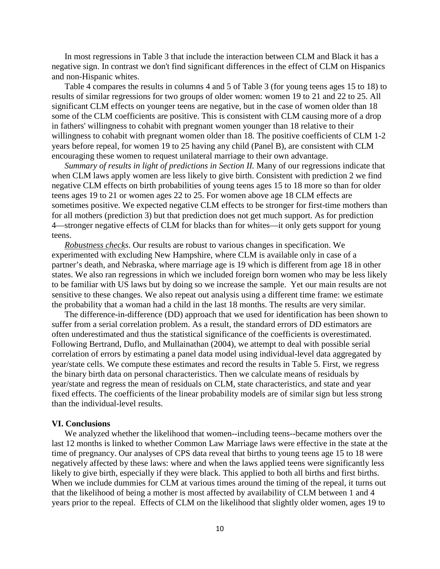In most regressions in Table 3 that include the interaction between CLM and Black it has a negative sign. In contrast we don't find significant differences in the effect of CLM on Hispanics and non-Hispanic whites.

Table 4 compares the results in columns 4 and 5 of Table 3 (for young teens ages 15 to 18) to results of similar regressions for two groups of older women: women 19 to 21 and 22 to 25. All significant CLM effects on younger teens are negative, but in the case of women older than 18 some of the CLM coefficients are positive. This is consistent with CLM causing more of a drop in fathers' willingness to cohabit with pregnant women younger than 18 relative to their willingness to cohabit with pregnant women older than 18. The positive coefficients of CLM 1-2 years before repeal, for women 19 to 25 having any child (Panel B), are consistent with CLM encouraging these women to request unilateral marriage to their own advantage.

*Summary of results in light of predictions in Section II.* Many of our regressions indicate that when CLM laws apply women are less likely to give birth. Consistent with prediction 2 we find negative CLM effects on birth probabilities of young teens ages 15 to 18 more so than for older teens ages 19 to 21 or women ages 22 to 25. For women above age 18 CLM effects are sometimes positive. We expected negative CLM effects to be stronger for first-time mothers than for all mothers (prediction 3) but that prediction does not get much support. As for prediction 4—stronger negative effects of CLM for blacks than for whites—it only gets support for young teens.

*Robustness checks*. Our results are robust to various changes in specification. We experimented with excluding New Hampshire, where CLM is available only in case of a partner's death, and Nebraska, where marriage age is 19 which is different from age 18 in other states. We also ran regressions in which we included foreign born women who may be less likely to be familiar with US laws but by doing so we increase the sample. Yet our main results are not sensitive to these changes. We also repeat out analysis using a different time frame: we estimate the probability that a woman had a child in the last 18 months. The results are very similar.

The difference-in-difference (DD) approach that we used for identification has been shown to suffer from a serial correlation problem. As a result, the standard errors of DD estimators are often underestimated and thus the statistical significance of the coefficients is overestimated. Following Bertrand, Duflo, and [Mullainathan](http://www.nber.org/people/sendhil_mullainathan) (2004), we attempt to deal with possible serial correlation of errors by estimating a panel data model using individual-level data aggregated by year/state cells. We compute these estimates and record the results in Table 5. First, we regress the binary birth data on personal characteristics. Then we calculate means of residuals by year/state and regress the mean of residuals on CLM, state characteristics, and state and year fixed effects. The coefficients of the linear probability models are of similar sign but less strong than the individual-level results.

#### **VI. Conclusions**

We analyzed whether the likelihood that women--including teens--became mothers over the last 12 months is linked to whether Common Law Marriage laws were effective in the state at the time of pregnancy. Our analyses of CPS data reveal that births to young teens age 15 to 18 were negatively affected by these laws: where and when the laws applied teens were significantly less likely to give birth, especially if they were black. This applied to both all births and first births. When we include dummies for CLM at various times around the timing of the repeal, it turns out that the likelihood of being a mother is most affected by availability of CLM between 1 and 4 years prior to the repeal. Effects of CLM on the likelihood that slightly older women, ages 19 to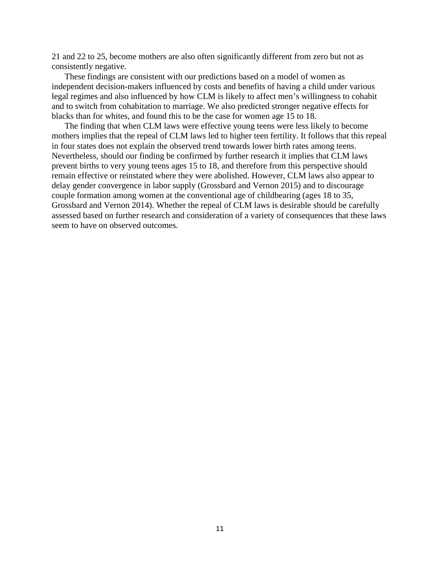21 and 22 to 25, become mothers are also often significantly different from zero but not as consistently negative.

These findings are consistent with our predictions based on a model of women as independent decision-makers influenced by costs and benefits of having a child under various legal regimes and also influenced by how CLM is likely to affect men's willingness to cohabit and to switch from cohabitation to marriage. We also predicted stronger negative effects for blacks than for whites, and found this to be the case for women age 15 to 18.

The finding that when CLM laws were effective young teens were less likely to become mothers implies that the repeal of CLM laws led to higher teen fertility. It follows that this repeal in four states does not explain the observed trend towards lower birth rates among teens. Nevertheless, should our finding be confirmed by further research it implies that CLM laws prevent births to very young teens ages 15 to 18, and therefore from this perspective should remain effective or reinstated where they were abolished. However, CLM laws also appear to delay gender convergence in labor supply (Grossbard and Vernon 2015) and to discourage couple formation among women at the conventional age of childbearing (ages 18 to 35, Grossbard and Vernon 2014). Whether the repeal of CLM laws is desirable should be carefully assessed based on further research and consideration of a variety of consequences that these laws seem to have on observed outcomes.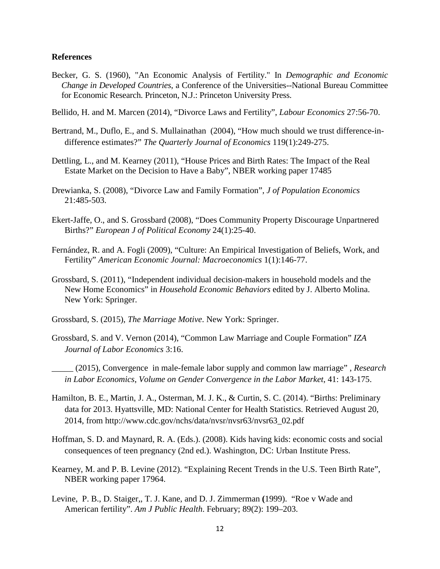#### **References**

- Becker, G. S. (1960), "An Economic Analysis of Fertility." In *Demographic and Economic Change in Developed Countries*, a Conference of the Universities--National Bureau Committee for Economic Research. Princeton, N.J.: Princeton University Press.
- Bellido, H. and M. Marcen (2014), "Divorce Laws and Fertility", *Labour Economics* 27:56-70.
- Bertrand, M., Duflo, E., and S. [Mullainathan](http://www.nber.org/people/sendhil_mullainathan) (2004), "How much should we trust difference-indifference estimates?" *The Quarterly Journal of Economics* 119(1):249-275.
- Dettling, L., and M. Kearney (2011), "House Prices and Birth Rates: The Impact of the Real Estate Market on the Decision to Have a Baby", NBER working paper 17485
- Drewianka, S. (2008), "Divorce Law and Family Formation", *J of Population Economics* 21:485-503.
- Ekert-Jaffe, O., and S. Grossbard (2008), "Does Community Property Discourage Unpartnered Births?" *European J of Political Economy* 24(1):25-40.
- Fernández, R. and A. Fogli (2009), "Culture: An Empirical Investigation of Beliefs, Work, and Fertility" *American Economic Journal: Macroeconomics* 1(1):146-77.
- Grossbard, S. (2011), "Independent individual decision-makers in household models and the New Home Economics" in *Household Economic Behaviors* edited by J. Alberto Molina. New York: Springer.
- Grossbard, S. (2015), *The Marriage Motive*. New York: Springer.
- Grossbard, S. and V. Vernon (2014), "Common Law Marriage and Couple Formation" *IZA Journal of Labor Economics* 3:16.
- \_\_\_\_\_ (2015), Convergence in male-female labor supply and common law marriage" , *Research in Labor Economics*, *Volume on Gender Convergence in the Labor Market*, 41: 143-175.
- Hamilton, B. E., Martin, J. A., Osterman, M. J. K., & Curtin, S. C. (2014). "Births: Preliminary data for 2013. Hyattsville, MD: National Center for Health Statistics. Retrieved August 20, 2014, from http://www.cdc.gov/nchs/data/nvsr/nvsr63/nvsr63\_02.pdf
- Hoffman, S. D. and Maynard, R. A. (Eds.). (2008). Kids having kids: economic costs and social consequences of teen pregnancy (2nd ed.). Washington, DC: Urban Institute Press.
- Kearney, M. and P. B. Levine (2012). "Explaining Recent Trends in the U.S. Teen Birth Rate", NBER working paper 17964.
- Levine, P. B., D. Staiger,, T. J. Kane, and D. J. Zimmerman **(**1999). "Roe v Wade and American fertility". *Am J Public Health*. February; 89(2): 199–203.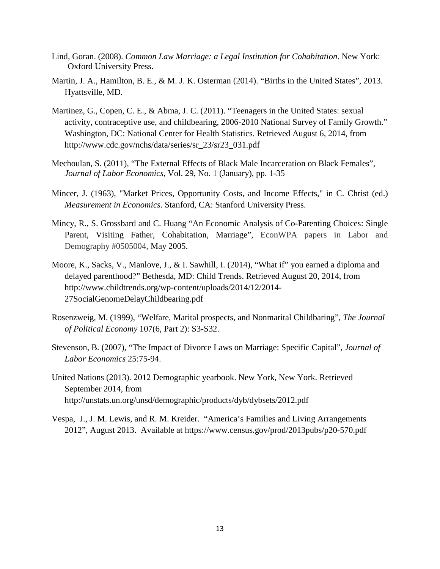- Lind, Goran. (2008). *Common Law Marriage: a Legal Institution for Cohabitation*. New York: Oxford University Press.
- Martin, J. A., Hamilton, B. E., & M. J. K. Osterman (2014). "Births in the United States", 2013. Hyattsville, MD.
- Martinez, G., Copen, C. E., & Abma, J. C. (2011). "Teenagers in the United States: sexual activity, contraceptive use, and childbearing, 2006-2010 National Survey of Family Growth." Washington, DC: National Center for Health Statistics. Retrieved August 6, 2014, from [http://www.cdc.gov/nchs/data/series/sr\\_23/sr23\\_031.pdf](http://www.cdc.gov/nchs/data/series/sr_23/sr23_031.pdf)
- Mechoulan, S. (2011), "The External Effects of Black Male Incarceration on Black Females", *Journal of Labor Economics*, Vol. 29, No. 1 (January), pp. 1-35
- Mincer, J. (1963), "Market Prices, Opportunity Costs, and Income Effects," in C. Christ (ed.) *Measurement in Economics*. Stanford, CA: Stanford University Press.
- Mincy, R., S. Grossbard and C. Huang "An Economic Analysis of Co-Parenting Choices: Single Parent, Visiting Father, Cohabitation, Marriage", EconWPA papers in Labor and Demography #0505004, May 2005.
- Moore, K., Sacks, V., Manlove, J., & I. Sawhill, I. (2014), "What if" you earned a diploma and delayed parenthood?" Bethesda, MD: Child Trends. Retrieved August 20, 2014, from http://www.childtrends.org/wp-content/uploads/2014/12/2014- 27SocialGenomeDelayChildbearing.pdf
- Rosenzweig, M. (1999), "Welfare, Marital prospects, and Nonmarital Childbaring", *The Journal of Political Economy* 107(6, Part 2): S3-S32.
- Stevenson, B. (2007), "The Impact of Divorce Laws on Marriage: Specific Capital", *Journal of Labor Economics* 25:75-94.
- United Nations (2013). 2012 Demographic yearbook. New York, New York. Retrieved September 2014, from <http://unstats.un.org/unsd/demographic/products/dyb/dybsets/2012.pdf>
- Vespa, J., J. M. Lewis, and R. M. Kreider. "America's Families and Living Arrangements 2012", August 2013. Available at https://www.census.gov/prod/2013pubs/p20-570.pdf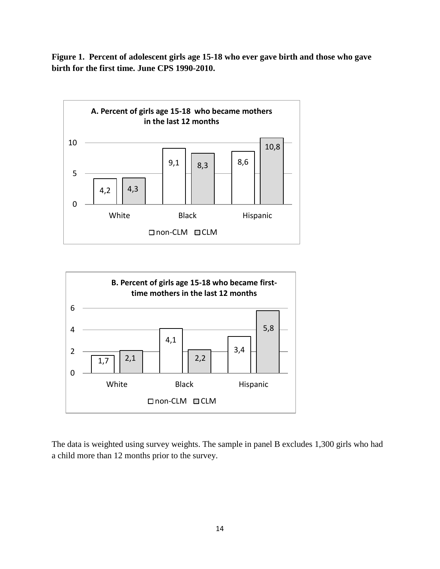**Figure 1. Percent of adolescent girls age 15-18 who ever gave birth and those who gave birth for the first time. June CPS 1990-2010.**





The data is weighted using survey weights. The sample in panel B excludes 1,300 girls who had a child more than 12 months prior to the survey.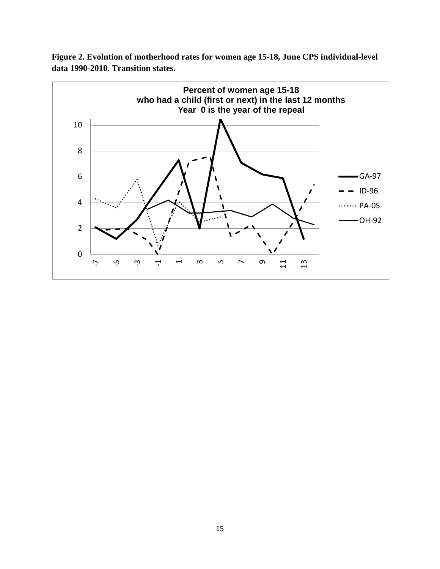

**Figure 2. Evolution of motherhood rates for women age 15-18, June CPS individual-level data 1990-2010. Transition states.**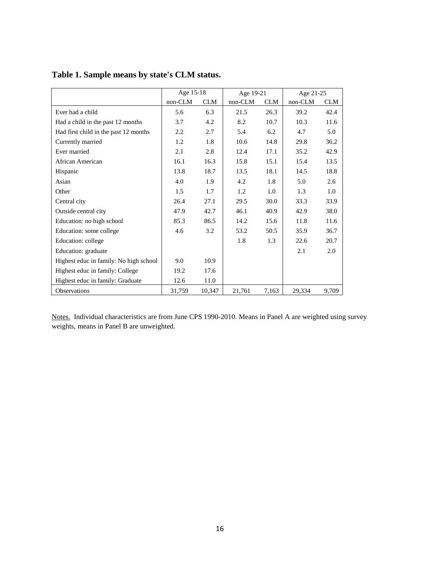|                                        | Age 15-18 |            | Age 19-21 |            | Age 21-25 |            |
|----------------------------------------|-----------|------------|-----------|------------|-----------|------------|
|                                        | non-CLM   | <b>CLM</b> | non-CLM   | <b>CLM</b> | non-CLM   | <b>CLM</b> |
| Ever had a child                       | 5.6       | 6.3        | 21.5      | 26.3       | 39.2      | 42.4       |
| Had a child in the past 12 months      | 3.7       | 4.2        | 8.2       | 10.7       | 10.3      | 11.6       |
| Had first child in the past 12 months  | $2.2\,$   | 2.7        | 5.4       | 6.2        | 4.7       | 5.0        |
| Currently married                      | 1.2       | 1.8        | 10.6      | 14.8       | 29.8      | 36.2       |
| Ever married                           | 2.1       | 2.8        | 12.4      | 17.1       | 35.2      | 42.9       |
| African American                       | 16.1      | 16.3       | 15.8      | 15.1       | 15.4      | 13.5       |
| Hispanic                               | 13.8      | 18.7       | 13.5      | 18.1       | 14.5      | 18.8       |
| Asian                                  | 4.0       | 1.9        | 4.2       | 1.8        | 5.0       | 2.6        |
| Other                                  | 1.5       | 1.7        | 1.2       | 1.0        | 1.3       | 1.0        |
| Central city                           | 26.4      | 27.1       | 29.5      | 30.0       | 33.3      | 33.9       |
| Outside central city                   | 47.9      | 42.7       | 46.1      | 40.9       | 42.9      | 38.0       |
| Education: no high school              | 85.3      | 86.5       | 14.2      | 15.6       | 11.8      | 11.6       |
| Education: some college                | 4.6       | 3.2        | 53.2      | 50.5       | 35.9      | 36.7       |
| Education: college                     |           |            | 1.8       | 1.3        | 22.6      | 20.7       |
| Education: graduate                    |           |            |           |            | 2.1       | 2.0        |
| Highest educ in family: No high school | 9.0       | 10.9       |           |            |           |            |
| Highest educ in family: College        | 19.2      | 17.6       |           |            |           |            |
| Highest educ in family: Graduate       | 12.6      | 11.0       |           |            |           |            |
| Observations                           | 31,759    | 10,347     | 21,761    | 7,163      | 29,334    | 9,709      |

### **Table 1. Sample means by state's CLM status.**

Notes. Individual characteristics are from June CPS 1990-2010. Means in Panel A are weighted using survey weights, means in Panel B are unweighted.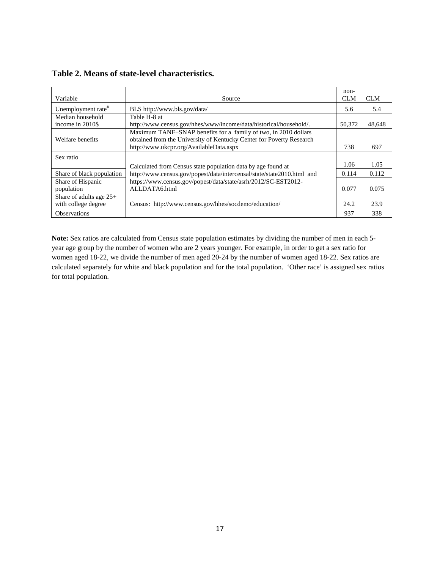| Variable                        | Source                                                                                                                                                                             | $non-$<br><b>CLM</b> | <b>CLM</b> |
|---------------------------------|------------------------------------------------------------------------------------------------------------------------------------------------------------------------------------|----------------------|------------|
| Unemployment rate <sup>#</sup>  | BLS http://www.bls.gov/data/                                                                                                                                                       | 5.6                  | 5.4        |
| Median household                | Table H-8 at                                                                                                                                                                       |                      |            |
| income in 2010\$                | http://www.census.gov/hhes/www/income/data/historical/household/.                                                                                                                  | 50.372               | 48,648     |
| Welfare benefits                | Maximum TANF+SNAP benefits for a family of two, in 2010 dollars<br>obtained from the University of Kentucky Center for Poverty Research<br>http://www.ukcpr.org/AvailableData.aspx | 738                  | 697        |
|                                 |                                                                                                                                                                                    |                      |            |
| Sex ratio                       | Calculated from Census state population data by age found at                                                                                                                       | 1.06                 | 1.05       |
| Share of black population       | http://www.census.gov/popest/data/intercensal/state/state2010.html and                                                                                                             | 0.114                | 0.112      |
| Share of Hispanic<br>population | https://www.census.gov/popest/data/state/asrh/2012/SC-EST2012-<br>ALLDATA6.html                                                                                                    | 0.077                | 0.075      |
| Share of adults age $25+$       |                                                                                                                                                                                    |                      |            |
| with college degree             | Census: http://www.census.gov/hhes/socdemo/education/                                                                                                                              | 24.2                 | 23.9       |
| <b>Observations</b>             |                                                                                                                                                                                    | 937                  | 338        |

**Table 2. Means of state-level characteristics.** 

<span id="page-18-0"></span>**Note:** Sex ratios are calculated from Census state population estimates by dividing the number of men in each 5 year age group by the number of women who are 2 years younger. For example, in order to get a sex ratio for women aged 18-22, we divide the number of men aged 20-24 by the number of women aged 18-22. Sex ratios are calculated separately for white and black population and for the total population. 'Other race' is assigned sex ratios for total population.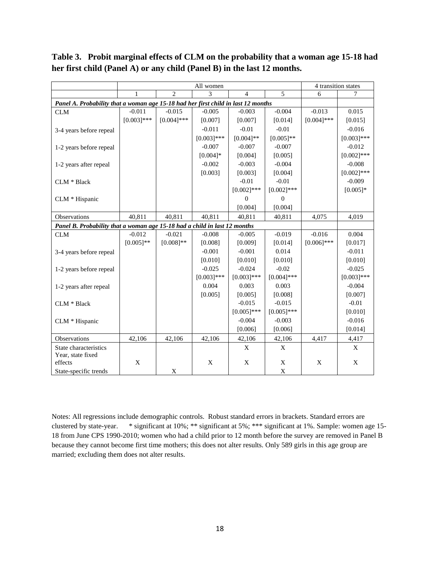|                                                                                   |               | 4 transition states |               |                |               |               |               |  |
|-----------------------------------------------------------------------------------|---------------|---------------------|---------------|----------------|---------------|---------------|---------------|--|
|                                                                                   |               | $\mathfrak{D}$      | 3             | $\overline{4}$ | 5             | 6             |               |  |
| Panel A. Probability that a woman age 15-18 had her first child in last 12 months |               |                     |               |                |               |               |               |  |
| <b>CLM</b>                                                                        | $-0.011$      | $-0.015$            | $-0.005$      | $-0.003$       | $-0.004$      | $-0.013$      | 0.015         |  |
|                                                                                   | $[0.003]$ *** | $[0.004]$ ***       | [0.007]       | [0.007]        | [0.014]       | $[0.004]$ *** | [0.015]       |  |
| 3-4 years before repeal                                                           |               |                     | $-0.011$      | $-0.01$        | $-0.01$       |               | $-0.016$      |  |
|                                                                                   |               |                     | $[0.003]$ *** | $[0.004]$ **   | $[0.005]$ **  |               | $[0.003]$ *** |  |
| 1-2 years before repeal                                                           |               |                     | $-0.007$      | $-0.007$       | $-0.007$      |               | $-0.012$      |  |
|                                                                                   |               |                     | $[0.004]*$    | [0.004]        | [0.005]       |               | $[0.002]$ *** |  |
| 1-2 years after repeal                                                            |               |                     | $-0.002$      | $-0.003$       | $-0.004$      |               | $-0.008$      |  |
|                                                                                   |               |                     | [0.003]       | [0.003]        | [0.004]       |               | $[0.002]$ *** |  |
| CLM * Black                                                                       |               |                     |               | $-0.01$        | $-0.01$       |               | $-0.009$      |  |
|                                                                                   |               |                     |               | $[0.002]$ ***  | $[0.002]$ *** |               | $[0.005]$ *   |  |
| CLM * Hispanic                                                                    |               |                     |               | $\overline{0}$ | $\mathbf{0}$  |               |               |  |
|                                                                                   |               |                     |               | [0.004]        | [0.004]       |               |               |  |
| Observations                                                                      | 40,811        | 40,811              | 40,811        | 40,811         | 40,811        | 4,075         | 4,019         |  |
| Panel B. Probability that a woman age 15-18 had a child in last 12 months         |               |                     |               |                |               |               |               |  |
| <b>CLM</b>                                                                        | $-0.012$      | $-0.021$            | $-0.008$      | $-0.005$       | $-0.019$      | $-0.016$      | 0.004         |  |
|                                                                                   | $[0.005]$ **  | $[0.008]$ **        | [0.008]       | [0.009]        | [0.014]       | $[0.006]$ *** | [0.017]       |  |
| 3-4 years before repeal                                                           |               |                     | $-0.001$      | $-0.001$       | 0.014         |               | $-0.011$      |  |
|                                                                                   |               |                     | [0.010]       | [0.010]        | [0.010]       |               | [0.010]       |  |
| 1-2 years before repeal                                                           |               |                     | $-0.025$      | $-0.024$       | $-0.02$       |               | $-0.025$      |  |
|                                                                                   |               |                     | $[0.003]$ *** | $[0.003]$ ***  | $[0.004]$ *** |               | $[0.003]$ *** |  |
| 1-2 years after repeal                                                            |               |                     | 0.004         | 0.003          | 0.003         |               | $-0.004$      |  |
|                                                                                   |               |                     | [0.005]       | [0.005]        | [0.008]       |               | [0.007]       |  |
| CLM * Black                                                                       |               |                     |               | $-0.015$       | $-0.015$      |               | $-0.01$       |  |
|                                                                                   |               |                     |               | $[0.005]$ ***  | $[0.005]$ *** |               | [0.010]       |  |
| CLM * Hispanic                                                                    |               |                     |               | $-0.004$       | $-0.003$      |               | $-0.016$      |  |
|                                                                                   |               |                     |               | [0.006]        | [0.006]       |               | [0.014]       |  |
| Observations                                                                      | 42,106        | 42,106              | 42,106        | 42,106         | 42,106        | 4,417         | 4,417         |  |
| State characteristics                                                             |               |                     |               | X              | X             |               | X             |  |
| Year, state fixed                                                                 |               |                     |               |                |               |               |               |  |
| effects                                                                           | X             |                     | X             | $\mathbf X$    | $\mathbf X$   | X             | X             |  |
| State-specific trends                                                             |               | X                   |               |                | $\mathbf X$   |               |               |  |

**Table 3. Probit marginal effects of CLM on the probability that a woman age 15-18 had her first child (Panel A) or any child (Panel B) in the last 12 months.** 

Notes: All regressions include demographic controls. Robust standard errors in brackets. Standard errors are clustered by state-year. \* significant at 10%; \*\* significant at 5%; \*\*\* significant at 1%. Sample: women age 15- 18 from June CPS 1990-2010; women who had a child prior to 12 month before the survey are removed in Panel B because they cannot become first time mothers; this does not alter results. Only 589 girls in this age group are married; excluding them does not alter results.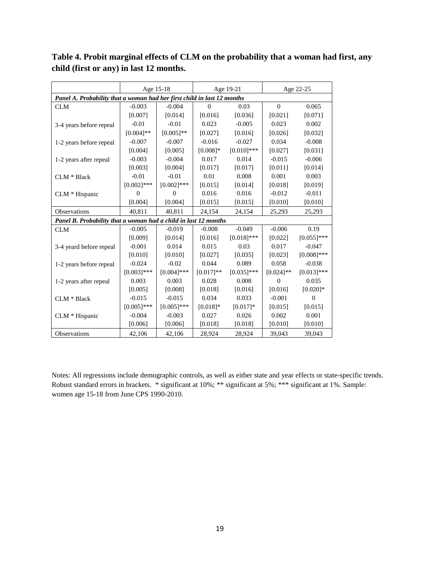|                                                                         | Age 15-18     |               | Age 19-21   |               | Age 22-25      |               |  |  |  |
|-------------------------------------------------------------------------|---------------|---------------|-------------|---------------|----------------|---------------|--|--|--|
| Panel A. Probability that a woman had her first child in last 12 months |               |               |             |               |                |               |  |  |  |
| CLM                                                                     | $-0.003$      | $-0.004$      | 0           | 0.03          | $\Omega$       | 0.065         |  |  |  |
|                                                                         | [0.007]       | [0.014]       | [0.016]     | [0.036]       | [0.021]        | [0.071]       |  |  |  |
| 3-4 years before repeal                                                 | $-0.01$       | $-0.01$       | 0.023       | $-0.005$      | 0.023          | 0.002         |  |  |  |
|                                                                         | $[0.004]$ **  | $[0.005]$ **  | [0.027]     | [0.016]       | [0.026]        | [0.032]       |  |  |  |
| 1-2 years before repeal                                                 | $-0.007$      | $-0.007$      | $-0.016$    | $-0.027$      | 0.034          | $-0.008$      |  |  |  |
|                                                                         | [0.004]       | [0.005]       | $[0.008]*$  | $[0.010]$ *** | [0.027]        | [0.031]       |  |  |  |
| 1-2 years after repeal                                                  | $-0.003$      | $-0.004$      | 0.017       | 0.014         | $-0.015$       | $-0.006$      |  |  |  |
|                                                                         | [0.003]       | [0.004]       | [0.017]     | [0.017]       | [0.011]        | [0.014]       |  |  |  |
| $CLM * Black$                                                           | $-0.01$       | $-0.01$       | 0.01        | 0.008         | 0.001          | 0.003         |  |  |  |
|                                                                         | $[0.002]$ *** | $[0.002]$ *** | [0.015]     | [0.014]       | [0.018]        | [0.019]       |  |  |  |
| CLM * Hispanic                                                          | $\theta$      | $\Omega$      | 0.016       | 0.016         | $-0.012$       | $-0.011$      |  |  |  |
|                                                                         | [0.004]       | [0.004]       | [0.015]     | [0.015]       | [0.010]        | [0.010]       |  |  |  |
| Observations                                                            | 40,811        | 40,811        | 24,154      | 24,154        | 25,293         | 25,293        |  |  |  |
| Panel B. Probability that a woman had a child in last 12 months         |               |               |             |               |                |               |  |  |  |
| <b>CLM</b>                                                              | $-0.005$      | $-0.019$      | $-0.008$    | $-0.049$      | $-0.006$       | 0.19          |  |  |  |
|                                                                         | [0.009]       | [0.014]       | [0.016]     | $[0.018]$ *** | [0.022]        | $[0.055]$ *** |  |  |  |
| 3-4 yeard before repeal                                                 | $-0.001$      | 0.014         | 0.015       | 0.03          | 0.017          | $-0.047$      |  |  |  |
|                                                                         | [0.010]       | [0.010]       | [0.027]     | [0.035]       | [0.023]        | $[0.008]$ *** |  |  |  |
| 1-2 years before repeal                                                 | $-0.024$      | $-0.02$       | 0.044       | 0.089         | 0.058          | $-0.038$      |  |  |  |
|                                                                         | $[0.003]$ *** | $[0.004]$ *** | $[0.017]**$ | $[0.035]$ *** | $[0.024]$ **   | $[0.013]$ *** |  |  |  |
| 1-2 years after repeal                                                  | 0.003         | 0.003         | 0.028       | 0.008         | $\overline{0}$ | 0.035         |  |  |  |
|                                                                         | [0.005]       | [0.008]       | [0.018]     | [0.016]       | [0.016]        | $[0.020]$ *   |  |  |  |
| CLM * Black                                                             | $-0.015$      | $-0.015$      | 0.034       | 0.033         | $-0.001$       | $\theta$      |  |  |  |
|                                                                         | $[0.005]$ *** | $[0.005]$ *** | $[0.018]*$  | $[0.017]*$    | [0.015]        | [0.015]       |  |  |  |
| CLM * Hispanic                                                          | $-0.004$      | $-0.003$      | 0.027       | 0.026         | 0.002          | 0.001         |  |  |  |
|                                                                         | [0.006]       | [0.006]       | [0.018]     | [0.018]       | [0.010]        | [0.010]       |  |  |  |
| Observations                                                            | 42,106        | 42,106        | 28,924      | 28,924        | 39,043         | 39,043        |  |  |  |

**Table 4. Probit marginal effects of CLM on the probability that a woman had first, any child (first or any) in last 12 months.**

Notes: All regressions include demographic controls, as well as either state and year effects or state-specific trends. Robust standard errors in brackets. \* significant at 10%; \*\* significant at 5%; \*\*\* significant at 1%. Sample: women age 15-18 from June CPS 1990-2010.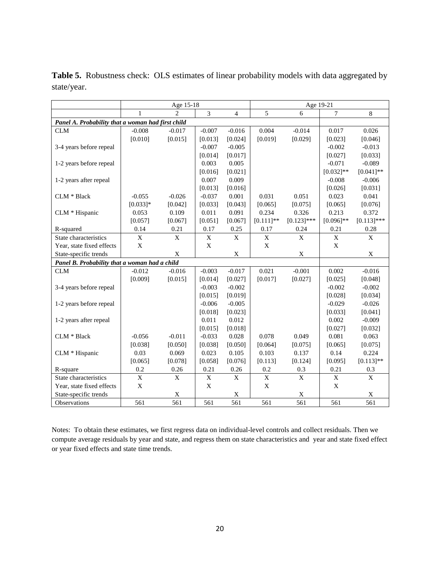|                                                   | Age 15-18   |                             |                |                | Age 19-21    |               |                           |               |
|---------------------------------------------------|-------------|-----------------------------|----------------|----------------|--------------|---------------|---------------------------|---------------|
|                                                   | 1           | $\mathcal{D}_{\mathcal{L}}$ | $\overline{3}$ | $\overline{4}$ | 5            | 6             | $\tau$                    | 8             |
| Panel A. Probability that a woman had first child |             |                             |                |                |              |               |                           |               |
| <b>CLM</b>                                        | $-0.008$    | $-0.017$                    | $-0.007$       | $-0.016$       | 0.004        | $-0.014$      | 0.017                     | 0.026         |
|                                                   | [0.010]     | [0.015]                     | [0.013]        | [0.024]        | [0.019]      | [0.029]       | [0.023]                   | [0.046]       |
| 3-4 years before repeal                           |             |                             | $-0.007$       | $-0.005$       |              |               | $-0.002$                  | $-0.013$      |
|                                                   |             |                             | [0.014]        | [0.017]        |              |               | [0.027]                   | [0.033]       |
| 1-2 years before repeal                           |             |                             | 0.003          | 0.005          |              |               | $-0.071$                  | $-0.089$      |
|                                                   |             |                             | [0.016]        | [0.021]        |              |               | $[0.032]$ **              | $[0.041]$ **  |
| 1-2 years after repeal                            |             |                             | 0.007          | 0.009          |              |               | $-0.008$                  | $-0.006$      |
|                                                   |             |                             | [0.013]        | [0.016]        |              |               | [0.026]                   | [0.031]       |
| CLM * Black                                       | $-0.055$    | $-0.026$                    | $-0.037$       | 0.001          | 0.031        | 0.051         | 0.023                     | 0.041         |
|                                                   | $[0.033]*$  | [0.042]                     | [0.033]        | [0.043]        | [0.065]      | [0.075]       | [0.065]                   | [0.076]       |
| CLM * Hispanic                                    | 0.053       | 0.109                       | 0.011          | 0.091          | 0.234        | 0.326         | 0.213                     | 0.372         |
|                                                   | [0.057]     | [0.067]                     | [0.051]        | [0.067]        | $[0.111]$ ** | $[0.123]$ *** | $[0.096]$ **              | $[0.113]$ *** |
| R-squared                                         | 0.14        | 0.21                        | 0.17           | 0.25           | 0.17         | 0.24          | 0.21                      | 0.28          |
| State characteristics                             | $\mathbf X$ | X                           | $\mathbf X$    | $\mathbf{X}$   | $\mathbf X$  | $\mathbf X$   | $\mathbf X$               | $\mathbf X$   |
| Year, state fixed effects                         | $\mathbf X$ |                             | $\mathbf X$    |                | $\mathbf X$  |               | $\boldsymbol{\mathrm{X}}$ |               |
| State-specific trends                             |             | $\mathbf X$                 |                | X              |              | X             |                           | $\mathbf X$   |
| Panel B. Probability that a woman had a child     |             |                             |                |                |              |               |                           |               |
| <b>CLM</b>                                        | $-0.012$    | $-0.016$                    | $-0.003$       | $-0.017$       | 0.021        | $-0.001$      | 0.002                     | $-0.016$      |
|                                                   | [0.009]     | [0.015]                     | [0.014]        | [0.027]        | [0.017]      | [0.027]       | [0.025]                   | [0.048]       |
| 3-4 years before repeal                           |             |                             | $-0.003$       | $-0.002$       |              |               | $-0.002$                  | $-0.002$      |
|                                                   |             |                             | [0.015]        | [0.019]        |              |               | [0.028]                   | [0.034]       |
| 1-2 years before repeal                           |             |                             | $-0.006$       | $-0.005$       |              |               | $-0.029$                  | $-0.026$      |
|                                                   |             |                             | [0.018]        | [0.023]        |              |               | [0.033]                   | [0.041]       |
| 1-2 years after repeal                            |             |                             | 0.011          | 0.012          |              |               | 0.002                     | $-0.009$      |
|                                                   |             |                             | [0.015]        | [0.018]        |              |               | [0.027]                   | [0.032]       |
| CLM * Black                                       | $-0.056$    | $-0.011$                    | $-0.033$       | 0.028          | 0.078        | 0.049         | 0.081                     | 0.063         |
|                                                   | [0.038]     | [0.050]                     | [0.038]        | [0.050]        | [0.064]      | [0.075]       | [0.065]                   | [0.075]       |
| CLM * Hispanic                                    | 0.03        | 0.069                       | 0.023          | 0.105          | 0.103        | 0.137         | 0.14                      | 0.224         |
|                                                   | [0.065]     | [0.078]                     | [0.058]        | [0.076]        | [0.113]      | [0.124]       | [0.095]                   | $[0.113]$ **  |
| R-square                                          | 0.2         | 0.26                        | 0.21           | 0.26           | 0.2          | 0.3           | 0.21                      | 0.3           |
| State characteristics                             | X           | X                           | $\mathbf X$    | $\mathbf{X}$   | $\mathbf X$  | X             | $\mathbf X$               | $\mathbf{X}$  |
| Year, state fixed effects                         | $\mathbf X$ |                             | $\mathbf X$    |                | $\mathbf X$  |               | $\boldsymbol{\mathrm{X}}$ |               |
| State-specific trends                             |             | X                           |                | X              |              | X             |                           | X             |
| Observations                                      | 561         | 561                         | 561            | 561            | 561          | 561           | 561                       | 561           |

Table 5. Robustness check: OLS estimates of linear probability models with data aggregated by state/year.

Notes: To obtain these estimates, we first regress data on individual-level controls and collect residuals. Then we compute average residuals by year and state, and regress them on state characteristics and year and state fixed effect or year fixed effects and state time trends.